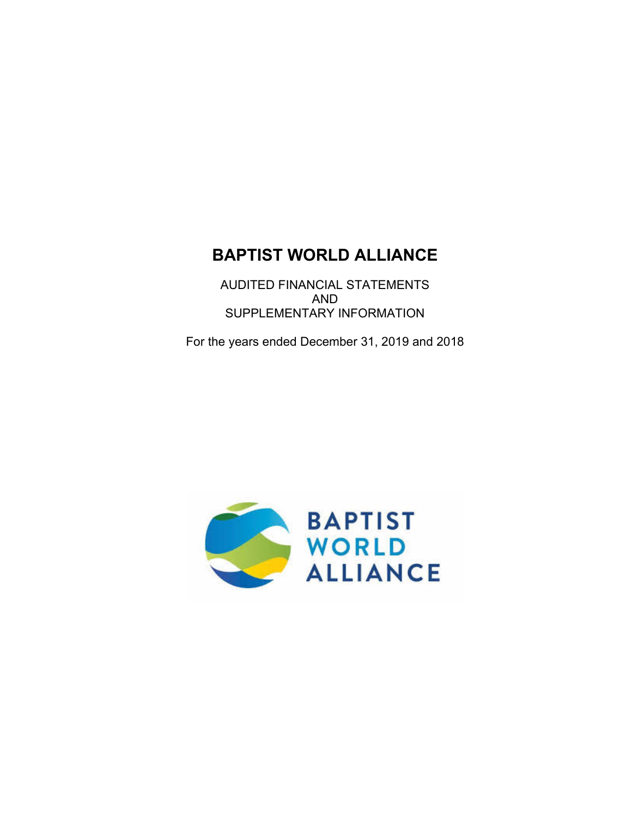AUDITED FINANCIAL STATEMENTS AND SUPPLEMENTARY INFORMATION

For the years ended December 31, 2019 and 2018

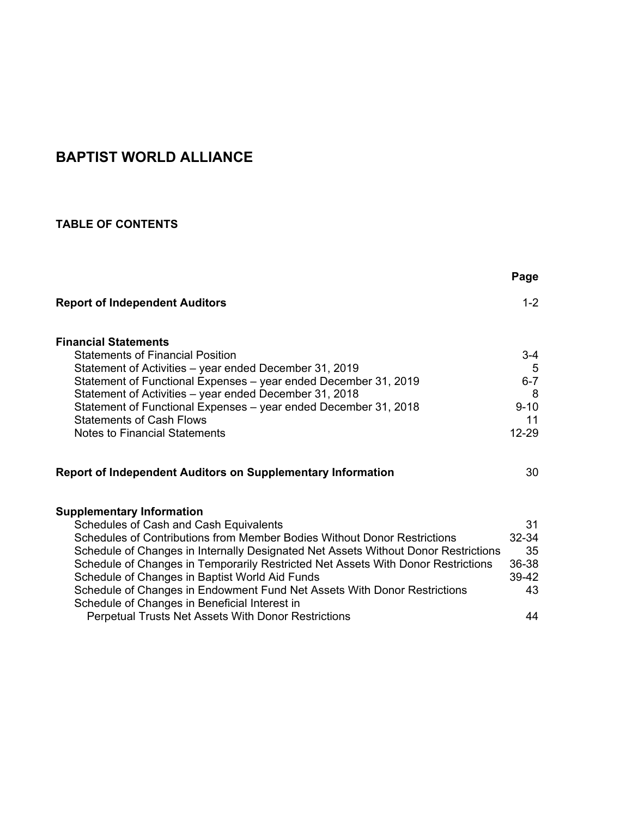# **TABLE OF CONTENTS**

|                                                                                                                           | Page     |
|---------------------------------------------------------------------------------------------------------------------------|----------|
| <b>Report of Independent Auditors</b>                                                                                     | $1 - 2$  |
| <b>Financial Statements</b>                                                                                               |          |
| <b>Statements of Financial Position</b>                                                                                   | $3-4$    |
| Statement of Activities – year ended December 31, 2019                                                                    | 5        |
| Statement of Functional Expenses - year ended December 31, 2019                                                           | $6 - 7$  |
| Statement of Activities - year ended December 31, 2018                                                                    | 8        |
| Statement of Functional Expenses - year ended December 31, 2018                                                           | $9 - 10$ |
| <b>Statements of Cash Flows</b>                                                                                           | 11       |
| <b>Notes to Financial Statements</b>                                                                                      | 12-29    |
| <b>Report of Independent Auditors on Supplementary Information</b>                                                        | 30       |
| <b>Supplementary Information</b>                                                                                          |          |
| Schedules of Cash and Cash Equivalents                                                                                    | 31       |
| Schedules of Contributions from Member Bodies Without Donor Restrictions                                                  | 32-34    |
| Schedule of Changes in Internally Designated Net Assets Without Donor Restrictions                                        | 35       |
| Schedule of Changes in Temporarily Restricted Net Assets With Donor Restrictions                                          | 36-38    |
| Schedule of Changes in Baptist World Aid Funds                                                                            | 39-42    |
| Schedule of Changes in Endowment Fund Net Assets With Donor Restrictions<br>Schedule of Changes in Beneficial Interest in | 43       |
| Perpetual Trusts Net Assets With Donor Restrictions                                                                       | 44       |
|                                                                                                                           |          |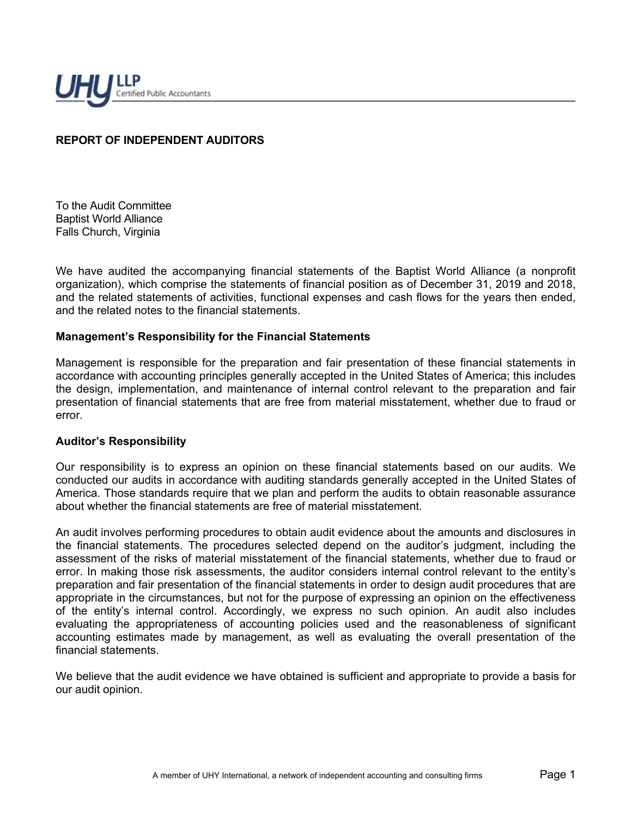

### **REPORT OF INDEPENDENT AUDITORS**

To the Audit Committee Baptist World Alliance Falls Church, Virginia

We have audited the accompanying financial statements of the Baptist World Alliance (a nonprofit organization), which comprise the statements of financial position as of December 31, 2019 and 2018, and the related statements of activities, functional expenses and cash flows for the years then ended, and the related notes to the financial statements.

#### **Management's Responsibility for the Financial Statements**

Management is responsible for the preparation and fair presentation of these financial statements in accordance with accounting principles generally accepted in the United States of America; this includes the design, implementation, and maintenance of internal control relevant to the preparation and fair presentation of financial statements that are free from material misstatement, whether due to fraud or error.

#### **Auditor's Responsibility**

Our responsibility is to express an opinion on these financial statements based on our audits. We conducted our audits in accordance with auditing standards generally accepted in the United States of America. Those standards require that we plan and perform the audits to obtain reasonable assurance about whether the financial statements are free of material misstatement.

An audit involves performing procedures to obtain audit evidence about the amounts and disclosures in the financial statements. The procedures selected depend on the auditor's judgment, including the assessment of the risks of material misstatement of the financial statements, whether due to fraud or error. In making those risk assessments, the auditor considers internal control relevant to the entity's preparation and fair presentation of the financial statements in order to design audit procedures that are appropriate in the circumstances, but not for the purpose of expressing an opinion on the effectiveness of the entity's internal control. Accordingly, we express no such opinion. An audit also includes evaluating the appropriateness of accounting policies used and the reasonableness of significant accounting estimates made by management, as well as evaluating the overall presentation of the financial statements.

We believe that the audit evidence we have obtained is sufficient and appropriate to provide a basis for our audit opinion.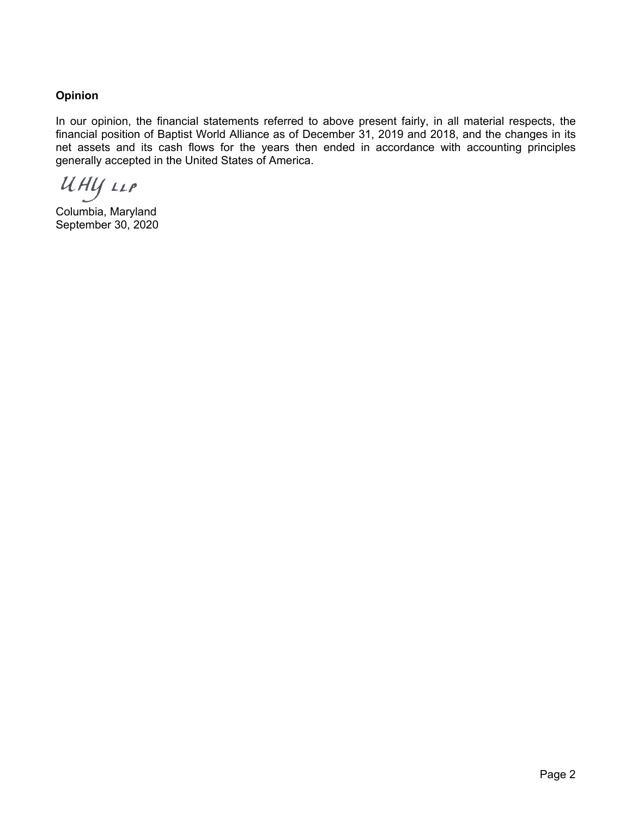### **Opinion**

In our opinion, the financial statements referred to above present fairly, in all material respects, the financial position of Baptist World Alliance as of December 31, 2019 and 2018, and the changes in its net assets and its cash flows for the years then ended in accordance with accounting principles generally accepted in the United States of America.

UHY LLP

Columbia, Maryland September 30, 2020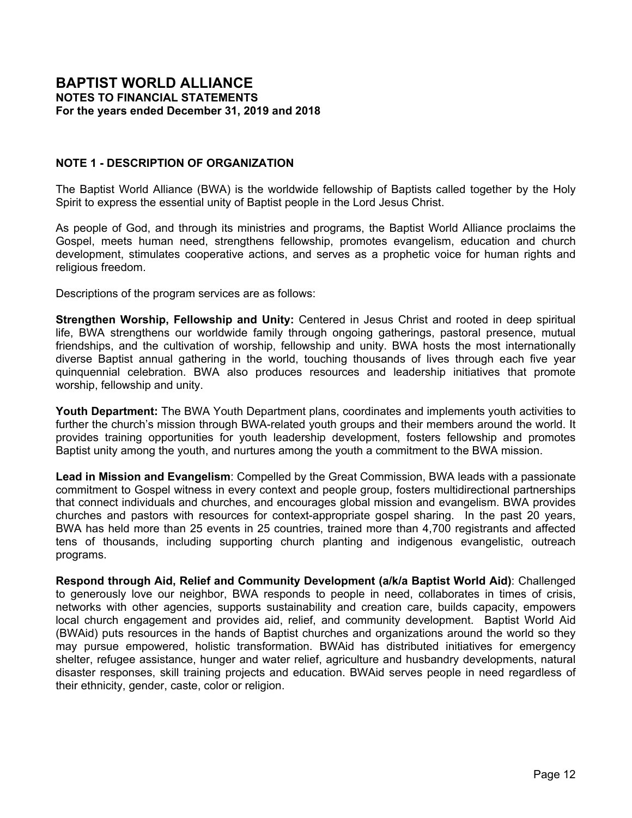# **STATEMENTS OF FINANCIAL POSITION**

**December 31, 2019 and 2018**

|                                           | 2019            | 2018            |
|-------------------------------------------|-----------------|-----------------|
| <b>ASSETS</b>                             |                 |                 |
| <b>CURRENT ASSETS</b>                     |                 |                 |
| Cash and cash equivalents                 | \$<br>929,629   | \$<br>952,031   |
| Accounts receivable                       | 11,103          | 6,688           |
| Pledges receivable                        |                 | 100,000         |
| Loans receivable                          | 18,328          | 2,643           |
| Due from departments                      | 14,031          | 37,597          |
| Prepaid expenses and other current assets | 236,001         | 153,962         |
| <b>Total current assets</b>               | 1,209,092       | 1,252,921       |
| PROPERTY AND EQUIPMENT - net              | 2,416,292       | 2,445,922       |
|                                           |                 |                 |
| <b>INVESTMENTS</b>                        |                 |                 |
| <b>Endowment fund investments</b>         | 1,343,477       | 1,342,677       |
| Other investments                         | 2,442,717       | 1,439,464       |
| <b>Total investments</b>                  | 3,786,194       | 2,782,141       |
| <b>OTHER ASSETS</b>                       |                 |                 |
| Loans receivable, net of current portion  | 251,064         | 269,400         |
| Beneficial interest in trusts             | 1,277,776       | 1,128,151       |
| <b>Total other assets</b>                 | 1,528,840       | 1,397,551       |
|                                           |                 |                 |
|                                           |                 |                 |
| <b>Total assets</b>                       | 8,940,418<br>\$ | \$<br>7,878,535 |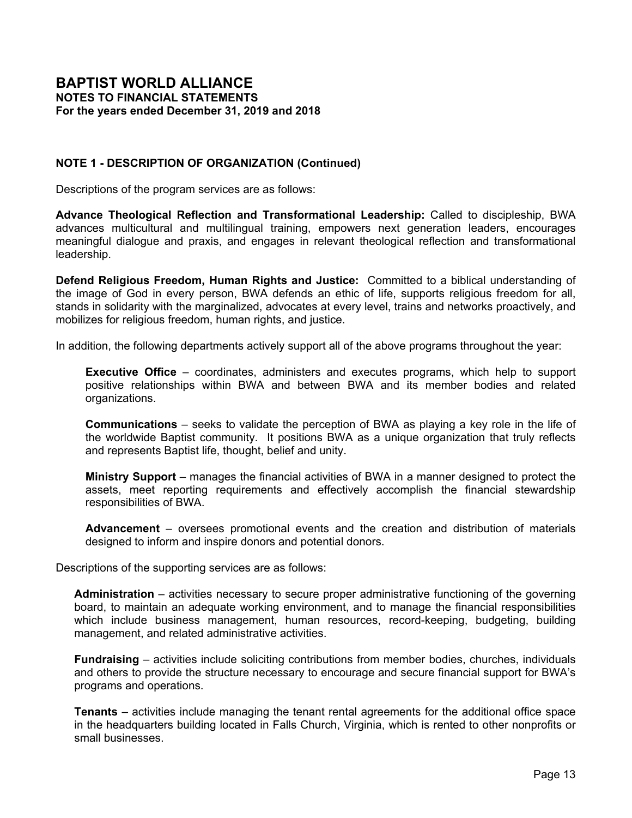|                                                                        | 2019            |                 |  |  |  |
|------------------------------------------------------------------------|-----------------|-----------------|--|--|--|
| <b>LIABILITIES AND NET ASSETS</b>                                      |                 |                 |  |  |  |
| <b>CURRENT LIABILITIES</b>                                             |                 |                 |  |  |  |
| Accounts payable and accrued expenses                                  | \$<br>69,111    | \$<br>56,441    |  |  |  |
| Deferred revenue                                                       | 244,619         | 29,142          |  |  |  |
| <b>Total current liabilities</b>                                       | 313,730         | 85,583          |  |  |  |
| <b>NON-CURRENT LIABILITIES</b>                                         |                 |                 |  |  |  |
| Security deposits held for tenants                                     | 19,530          | 19,530          |  |  |  |
| <b>Total liabilities</b>                                               | 333,260         | 105,113         |  |  |  |
| <b>NET ASSETS</b>                                                      |                 |                 |  |  |  |
| <b>Without Donor Restrictions:</b>                                     |                 |                 |  |  |  |
| Available for operations                                               | 523,859         | 131,563         |  |  |  |
| Invested in property and equipment                                     | 2,416,292       | 2,445,922       |  |  |  |
| Internally designated net assets                                       | 293,164         | 199,083         |  |  |  |
| Total net assets without donor restrictions                            | 3,233,315       | 2,776,568       |  |  |  |
| <b>With Donor Restrictions:</b>                                        |                 |                 |  |  |  |
| Temporarily restricted for time and purpose<br>Permanently restricted: | 2,787,678       | 2,555,076       |  |  |  |
| <b>Endowment funds</b>                                                 | 1,343,477       | 1,342,677       |  |  |  |
| Beneficial interest in perpetual trusts                                | 1,242,688       | 1,099,101       |  |  |  |
|                                                                        |                 |                 |  |  |  |
| Total net assets with donor restrictions                               | 5,373,843       | 4,996,854       |  |  |  |
| Total net assets                                                       | 8,607,158       | 7,773,422       |  |  |  |
| Tota liabilities and net assets                                        | 8,940,418<br>\$ | 7,878,535<br>\$ |  |  |  |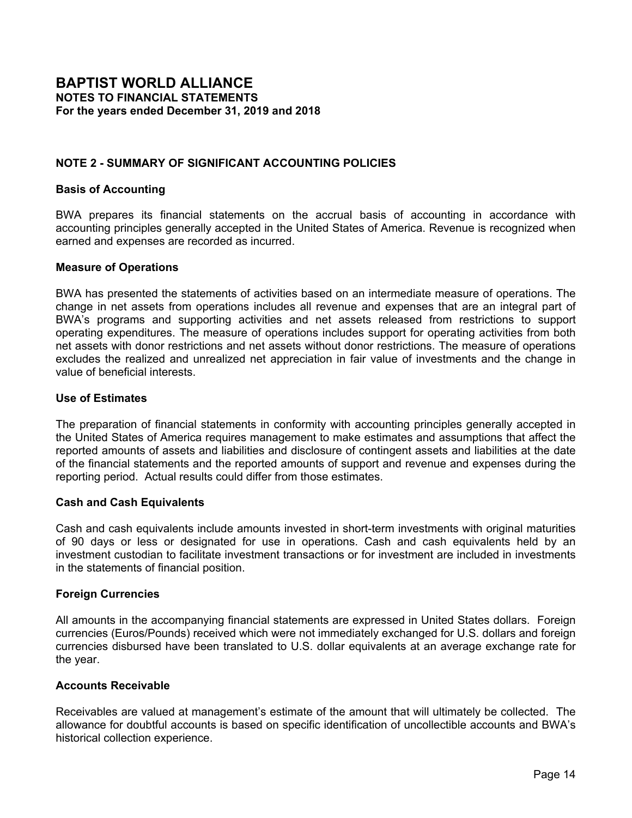**STATEMENT OF ACTIVITIES**

**For the year ended December 31, 2019**

|                                                                | Without<br><b>Donor</b><br><b>Restrictions</b> | With<br>Donor<br><b>Restrictions</b> | <b>Total</b>             |
|----------------------------------------------------------------|------------------------------------------------|--------------------------------------|--------------------------|
| <b>Operations:</b>                                             |                                                |                                      |                          |
| <b>Support and Revenue</b>                                     |                                                |                                      |                          |
| Contributions from member bodies                               | \$<br>396,399                                  | \$<br>45,800                         | \$<br>442,199            |
| Combined federal campaign contributions                        | 2,869                                          | 2,987                                | 5,856                    |
| Contributions from churches, individuals and others            | 696,612                                        | 584,219                              | 1,280,831                |
| General council, conferences and other meeting income          | 530,004                                        |                                      | 530,004                  |
| Interest and dividends                                         | 87,929                                         | 34,305                               | 122,234                  |
| Distributions from perpetual trusts                            |                                                | 71,940                               | 71,940                   |
| Rental income                                                  | 284,628                                        |                                      | 284,628                  |
| Currency exchange loss                                         | (2,587)                                        |                                      | (2, 587)                 |
| Miscellaneous                                                  | 7,588                                          |                                      | 7,588                    |
|                                                                | 2,003,442                                      | 739,251                              | 2,742,693                |
| Net assets released from restrictions                          | 633,256                                        | (633, 256)                           | $\overline{\phantom{a}}$ |
| Total support and revenue                                      | 2,636,698                                      | 105,995                              | 2,742,693                |
| <b>Expenses</b>                                                |                                                |                                      |                          |
| Program services:                                              |                                                |                                      |                          |
| Strengthen Worship, Fellowship and Unity                       | 1,127,721                                      |                                      | 1,127,721                |
| Lead in Mission and Evangelism                                 | 162,225                                        |                                      | 162,225                  |
| Advance Theological Reflection and Transformational Leadership | 256,559                                        |                                      | 256,559                  |
| BWAid / Respond through Aid, Relief and Community Development  | 293,012                                        |                                      | 293,012                  |
| Defend Religious Freedom, Human Rights and Justice             | 92,846                                         |                                      | 92,846                   |
| Total program services                                         | 1,932,363                                      |                                      | 1,932,363                |
| Supporting services:                                           |                                                |                                      |                          |
| Administration                                                 | 239,586                                        |                                      | 239,586                  |
| Fundraising                                                    | 140,263                                        |                                      | 140,263                  |
| Tenants                                                        | 149,709                                        |                                      | 149,709                  |
| Total expenses                                                 | 2,461,921                                      |                                      | 2,461,921                |
| <b>Change in Net Assets from Operations</b>                    | 174,777                                        | 105,995                              | 280,772                  |
| Non-operating gains                                            |                                                |                                      |                          |
| Realized and unrealized gains                                  | 281,970                                        | 121,369                              | 403,339                  |
| Change in value of beneficial interests                        |                                                | 149,625                              | 149,625                  |
| Total non-operating gains                                      | 281,970                                        | 270,994                              | 552,964                  |
| <b>Change in Net Assets</b>                                    | 456,747                                        | 376,989                              | 833,736                  |
| <b>Net Assets, Beginning</b>                                   | 2,776,568                                      | 4,996,854                            | 7,773,422                |
| <b>Net Assets, Ending</b>                                      | \$<br>3,233,315                                | \$<br>5,373,843                      | \$<br>8,607,158          |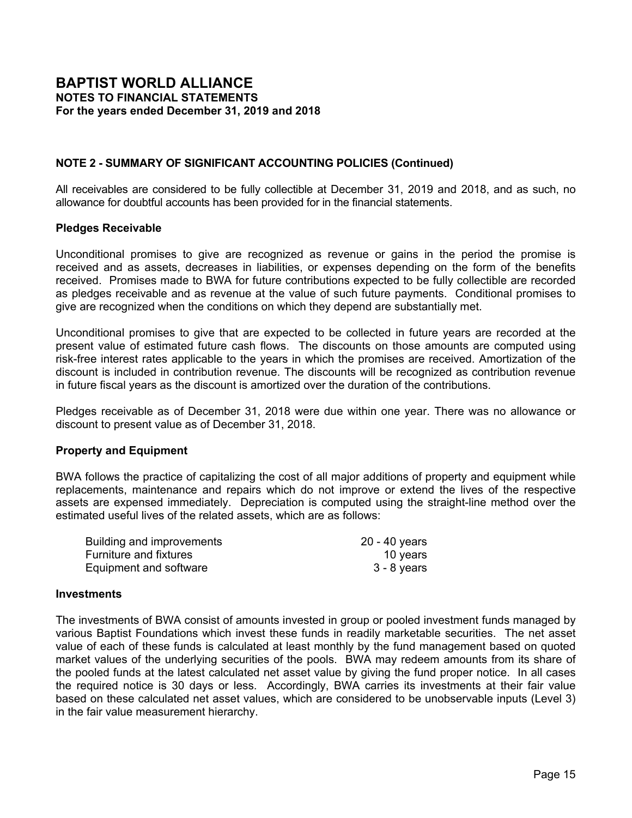**STATEMENT OF FUNCTIONAL EXPENSES**

**For the year ended December 31, 2019**

|                                         | <b>PROGRAM SERVICES</b> |           |                                            |         |                                         |         |              |         |                |        |
|-----------------------------------------|-------------------------|-----------|--------------------------------------------|---------|-----------------------------------------|---------|--------------|---------|----------------|--------|
|                                         | Worship                 |           | <b>Mission</b><br>and<br><b>Evangelism</b> |         | <b>Theological</b><br><b>Reflection</b> |         | <b>BWAid</b> |         | <b>Justice</b> |        |
| Personnel costs:                        |                         |           |                                            |         |                                         |         |              |         |                |        |
| Salaries, including housing allowance   | \$                      | 288,506   | \$                                         | 42,889  | \$                                      | 115,835 | \$           | 21,843  | \$             | 42,889 |
| Payroll taxes                           |                         | 14,660    |                                            | 1,375   |                                         | 3.163   |              | 1,189   |                | 1,375  |
| Pension plan contributions              |                         | 40,284    |                                            | 4,550   |                                         | 10,465  |              | 3,073   |                | 4,550  |
| Other employee benefits                 |                         | 61,879    |                                            | 5,629   |                                         | 12,816  |              | 3,538   |                | 5,626  |
| Total personnel costs                   |                         | 405,329   |                                            | 54,443  |                                         | 142,279 |              | 29,643  |                | 54,440 |
| Advertising                             |                         | 3,623     |                                            | 684     |                                         | 1,572   |              | 273     |                | 684    |
| Building maintenance and utilities      |                         | 33,979    |                                            | 8,119   |                                         | 13,315  |              | 3,383   |                | 8,119  |
| Conferences and meetings                |                         | 432,128   |                                            | 1,083   |                                         | 26,594  |              | 205     |                | 512    |
| Depreciation                            |                         | 23,461    |                                            | 6,439   |                                         | 10,079  |              | 3,416   |                | 6,439  |
| Grants                                  |                         | 35,343    |                                            | 68,978  |                                         |         |              | 235,929 |                | 1,886  |
| Grants to regions                       |                         | 84,524    |                                            |         |                                         |         |              |         |                |        |
| Hospitality                             |                         | 4,700     |                                            | 873     |                                         | 2,007   |              | 421     |                | 873    |
| Insurance                               |                         | 3,891     |                                            | 1,234   |                                         | 2,338   |              | 777     |                | 1,234  |
| Office equipment and computer costs     |                         | 27,948    |                                            | 5,907   |                                         | 15,094  |              | 2,836   |                | 5,638  |
| Other fees                              |                         | 3,495     |                                            | 713     |                                         | 1,357   |              | 698     |                | 693    |
| Other publications and web              |                         | 5,272     |                                            | 1,187   |                                         | 2,284   |              | 398     |                | 995    |
| Postage and shipments                   |                         | 2,691     |                                            | 558     |                                         | 1,196   |              | 205     |                | 493    |
| President's travel                      |                         | 10,923    |                                            | 2,061   |                                         | 4,740   |              | 824     |                | 2,061  |
| Printing                                |                         | 2,642     |                                            | 499     |                                         | 1,307   |              | 199     |                | 498    |
| Printing and mailing of "Baptist World" |                         | 223       |                                            | 42      |                                         | 97      |              | 16      |                | 42     |
| Professional fees                       |                         |           |                                            |         |                                         |         |              |         |                |        |
| Subscriptions, dues and literature      |                         | 848       |                                            | 1,150   |                                         | 346     |              | 2,160   |                | 470    |
| Supplies and materials                  |                         | 2,452     |                                            | 423     |                                         | 862     |              | 192     |                | 423    |
| Taxes                                   |                         |           |                                            |         |                                         |         |              |         |                |        |
| Telephone, facsimile and internet       |                         | 5,898     |                                            | 1,196   |                                         | 2,161   |              | 599     |                | 1,196  |
| Travel of staff and others              |                         | 38,351    |                                            | 6,636   |                                         | 28,931  |              | 10,838  |                | 6,150  |
| Total expenses                          | \$                      | 1,127,721 | \$                                         | 162,225 | \$                                      | 256,559 | \$           | 293,012 | \$             | 92,846 |

*See notes to financial statements.*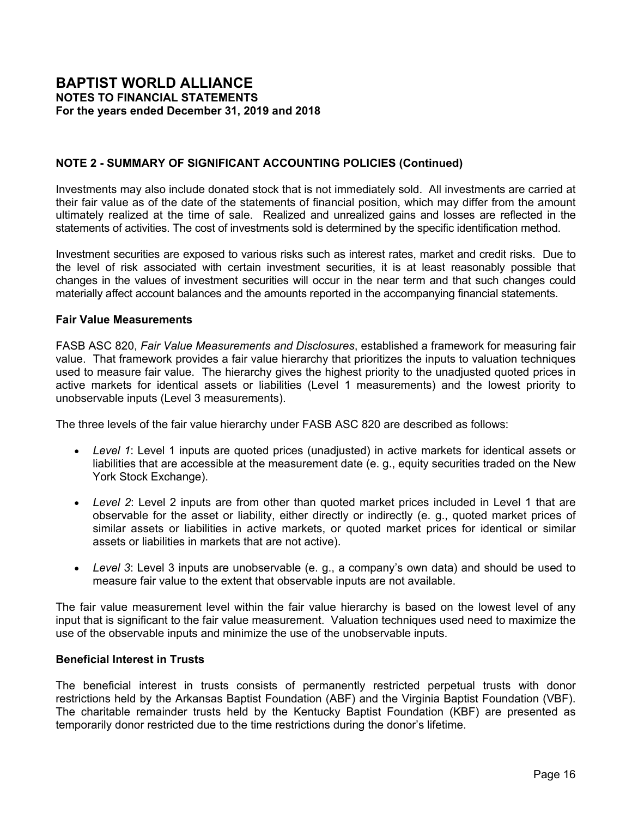|                 | <b>Total</b><br>Program | Adminis- |                   |                                      |                 |    |                 |     |                    |        |        |  |       |  |        |  |        |  |  |  |  |  |  |  |  |  |  |  |  |  |  |  |        |  |        |  |
|-----------------|-------------------------|----------|-------------------|--------------------------------------|-----------------|----|-----------------|-----|--------------------|--------|--------|--|-------|--|--------|--|--------|--|--|--|--|--|--|--|--|--|--|--|--|--|--|--|--------|--|--------|--|
| <b>Services</b> |                         |          | tration           | <b>Fundraising</b><br><b>Tenants</b> |                 |    |                 |     | <b>Total</b>       |        |        |  |       |  |        |  |        |  |  |  |  |  |  |  |  |  |  |  |  |  |  |  |        |  |        |  |
|                 |                         |          |                   |                                      |                 |    |                 |     |                    |        |        |  |       |  |        |  |        |  |  |  |  |  |  |  |  |  |  |  |  |  |  |  |        |  |        |  |
|                 |                         | \$       |                   |                                      |                 | \$ |                 | \$  |                    |        |        |  |       |  |        |  |        |  |  |  |  |  |  |  |  |  |  |  |  |  |  |  |        |  |        |  |
| \$              | 511,962<br>21,762       |          | 109,713<br>5,107  | \$                                   | 70,583<br>646   |    | 25,330<br>1,861 |     | 717,588<br>29,376  |        |        |  |       |  |        |  |        |  |  |  |  |  |  |  |  |  |  |  |  |  |  |  |        |  |        |  |
|                 | 62,922                  |          | 18,907            |                                      | 7,728           |    |                 |     |                    |        |        |  |       |  |        |  |        |  |  |  |  |  |  |  |  |  |  |  |  |  |  |  |        |  |        |  |
|                 |                         |          |                   |                                      |                 |    |                 |     | 89,557             |        |        |  |       |  |        |  |        |  |  |  |  |  |  |  |  |  |  |  |  |  |  |  |        |  |        |  |
|                 | 89,488<br>686,134       |          | 29,948<br>163,675 | 15,467                               |                 |    | 6,175<br>33,366 |     | 141,078<br>977,599 |        |        |  |       |  |        |  |        |  |  |  |  |  |  |  |  |  |  |  |  |  |  |  |        |  |        |  |
|                 | 6,836                   |          |                   |                                      | 94,424          |    |                 |     |                    |        |        |  |       |  |        |  |        |  |  |  |  |  |  |  |  |  |  |  |  |  |  |  |        |  |        |  |
|                 | 66,915                  |          | 8,810             |                                      | 23,785<br>2,777 |    | 47,351          |     | 30,621<br>125,853  |        |        |  |       |  |        |  |        |  |  |  |  |  |  |  |  |  |  |  |  |  |  |  |        |  |        |  |
|                 | 460,522                 |          |                   |                                      |                 |    |                 |     | 460,522            |        |        |  |       |  |        |  |        |  |  |  |  |  |  |  |  |  |  |  |  |  |  |  |        |  |        |  |
|                 | 49,834                  |          |                   |                                      |                 |    |                 |     |                    |        |        |  |       |  | 39,399 |  | 97,894 |  |  |  |  |  |  |  |  |  |  |  |  |  |  |  |        |  |        |  |
|                 | 342,136                 |          | 6,816             | 1,845                                |                 |    |                 |     |                    |        |        |  |       |  |        |  |        |  |  |  |  |  |  |  |  |  |  |  |  |  |  |  |        |  |        |  |
|                 | 84,524                  |          |                   |                                      |                 |    |                 |     | 342,136            |        |        |  |       |  |        |  |        |  |  |  |  |  |  |  |  |  |  |  |  |  |  |  |        |  |        |  |
|                 |                         |          |                   |                                      |                 |    |                 |     |                    |        | 84,524 |  |       |  |        |  |        |  |  |  |  |  |  |  |  |  |  |  |  |  |  |  |        |  |        |  |
|                 | 8,874                   |          |                   |                                      |                 |    |                 |     | 205                |        |        |  | 8,874 |  |        |  |        |  |  |  |  |  |  |  |  |  |  |  |  |  |  |  |        |  |        |  |
|                 | 9.474                   |          | 599               |                                      |                 |    | 3,457           |     | 13,735             |        |        |  |       |  |        |  |        |  |  |  |  |  |  |  |  |  |  |  |  |  |  |  |        |  |        |  |
|                 | 57,423                  |          | 21,742            |                                      | 2,806           |    |                 |     |                    |        |        |  |       |  |        |  |        |  |  |  |  |  |  |  |  |  |  |  |  |  |  |  |        |  | 81,971 |  |
|                 | 6,956                   |          | 12,317            |                                      | 252             |    |                 |     |                    |        |        |  |       |  |        |  |        |  |  |  |  |  |  |  |  |  |  |  |  |  |  |  | 19,525 |  |        |  |
|                 | 10,136                  |          |                   |                                      | 13,421          |    |                 |     |                    |        | 23,557 |  |       |  |        |  |        |  |  |  |  |  |  |  |  |  |  |  |  |  |  |  |        |  |        |  |
|                 | 5,143                   |          |                   |                                      |                 |    |                 |     |                    |        |        |  | 5,143 |  |        |  |        |  |  |  |  |  |  |  |  |  |  |  |  |  |  |  |        |  |        |  |
|                 | 20,609                  |          |                   |                                      |                 |    |                 |     | 20,609             |        |        |  |       |  |        |  |        |  |  |  |  |  |  |  |  |  |  |  |  |  |  |  |        |  |        |  |
|                 | 5,145                   |          |                   |                                      |                 |    |                 |     |                    |        | 5,145  |  |       |  |        |  |        |  |  |  |  |  |  |  |  |  |  |  |  |  |  |  |        |  |        |  |
|                 | 420                     |          |                   |                                      |                 |    |                 |     |                    |        |        |  | 420   |  |        |  |        |  |  |  |  |  |  |  |  |  |  |  |  |  |  |  |        |  |        |  |
|                 |                         |          | 19,842            |                                      | 1,658           |    |                 |     |                    | 21,500 |        |  |       |  |        |  |        |  |  |  |  |  |  |  |  |  |  |  |  |  |  |  |        |  |        |  |
|                 | 4,974                   |          |                   |                                      |                 |    |                 |     |                    |        | 4,974  |  |       |  |        |  |        |  |  |  |  |  |  |  |  |  |  |  |  |  |  |  |        |  |        |  |
|                 | 4,352                   |          | 919               |                                      | 120             |    |                 |     | 5,391              |        |        |  |       |  |        |  |        |  |  |  |  |  |  |  |  |  |  |  |  |  |  |  |        |  |        |  |
|                 |                         |          |                   |                                      |                 |    | 24,478          |     | 24,478             |        |        |  |       |  |        |  |        |  |  |  |  |  |  |  |  |  |  |  |  |  |  |  |        |  |        |  |
|                 | 11,050                  |          | 4,866             |                                      |                 |    |                 | 628 |                    |        |        |  |       |  | 16,544 |  |        |  |  |  |  |  |  |  |  |  |  |  |  |  |  |  |        |  |        |  |
|                 | 90,906                  |          |                   |                                      |                 |    |                 |     |                    |        |        |  |       |  |        |  |        |  |  |  |  |  |  |  |  |  |  |  |  |  |  |  |        |  | 90,906 |  |
| \$              | 1,932,363               | \$       | 239,586           | \$                                   | 140,263         | \$ | 149,709         | \$  | 2,461,921          |        |        |  |       |  |        |  |        |  |  |  |  |  |  |  |  |  |  |  |  |  |  |  |        |  |        |  |

#### **SUPPORTING SERVICES**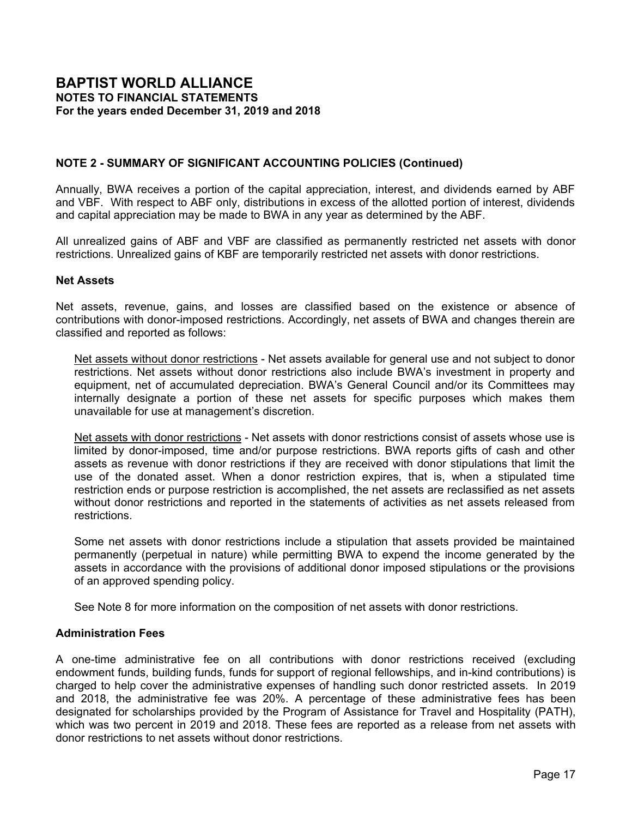**STATEMENT OF ACTIVITIES**

**For the year ended December 31, 2018**

|                                                                                        | Without<br>With<br><b>Donor</b><br>Donor<br><b>Restrictions</b><br><b>Restrictions</b> |                 | Total           |
|----------------------------------------------------------------------------------------|----------------------------------------------------------------------------------------|-----------------|-----------------|
| <b>Operations:</b>                                                                     |                                                                                        |                 |                 |
| <b>Support and Revenue</b>                                                             |                                                                                        |                 |                 |
| Contributions from member bodies                                                       | \$<br>387,614                                                                          | \$<br>43,674    | 431,288<br>\$   |
| Combined federal campaign contributions                                                | 6,485                                                                                  | 6,750           | 13,235          |
| In-kind contributions                                                                  | 32,686                                                                                 |                 | 32,686          |
| Contributions from churches, individuals and others                                    | 738,345                                                                                | 469,087         | 1,207,432       |
| General council, conferences and other meeting income                                  | 231,372                                                                                |                 | 231,372         |
| Interest and dividends                                                                 | 115,789                                                                                |                 | 115,789         |
| Distributions from perpetual trusts                                                    |                                                                                        | 71,182          | 71,182          |
| Rental income                                                                          | 303,775                                                                                |                 | 303,775         |
| Currency exchange loss                                                                 | (2,964)                                                                                |                 | (2,964)         |
| Miscellaneous                                                                          | 6,414                                                                                  |                 | 6,414           |
|                                                                                        | 1,819,516                                                                              | 590,693         | 2,410,209       |
| Net assets released from restrictions                                                  | 534,655                                                                                | (534, 655)      |                 |
| Total support and revenue                                                              | 2,354,171                                                                              | 56,038          | 2,410,209       |
| <b>Expenses</b>                                                                        |                                                                                        |                 |                 |
| Program services:                                                                      |                                                                                        |                 |                 |
| Strengthen Worship, Fellowship and Unity                                               | 279,453                                                                                |                 | 279,453         |
| Youth department                                                                       | 28,189                                                                                 |                 | 28,189          |
| Lead in Mission and Evangelism and                                                     |                                                                                        |                 |                 |
| Advance Theological Reflection and Leadership                                          | 111,877                                                                                |                 | 111,877         |
| BWAid / Respond through Aid, Relief and Community Development                          | 384,797                                                                                |                 | 384,797         |
| Defend Religious Freedom, Human Rights and Justice<br>Supporting the program services: | 56,561                                                                                 |                 | 56,561          |
| Executive office                                                                       | 334,392                                                                                |                 | 334,392         |
| Communications                                                                         | 150,075                                                                                |                 | 150,075         |
| Ministry support                                                                       | 104,210                                                                                |                 | 104,210         |
| Advancement                                                                            | 106,859                                                                                |                 | 106,859         |
| Total program services                                                                 | 1,556,413                                                                              |                 | 1,556,413       |
| Supporting services:                                                                   |                                                                                        |                 |                 |
| Administration                                                                         | 428,967                                                                                |                 | 428,967         |
| Fundraising                                                                            | 132,699                                                                                |                 | 132,699         |
| Tenants                                                                                | 142,550                                                                                |                 | 142,550         |
| Total expenses                                                                         | 2,260,629                                                                              |                 | 2,260,629       |
| <b>Change in Net Assets from Operations</b>                                            | 93,542                                                                                 | 56,038          | 149,580         |
| <b>Non-operating losses</b>                                                            |                                                                                        |                 |                 |
| Realized and unrealized losses                                                         | (246, 658)                                                                             |                 | (246, 658)      |
| Change in value of beneficial interests                                                |                                                                                        | (106, 221)      | (106, 221)      |
| Total non-operating losses                                                             | (246, 658)                                                                             | (106, 221)      | (352, 879)      |
| <b>Change in Net Assets</b>                                                            | (153, 116)                                                                             | (50, 183)       | (203, 299)      |
| <b>Net Assets, Beginning</b>                                                           | 2,929,684                                                                              | 5,047,037       | 7,976,721       |
| <b>Net Assets, Ending</b>                                                              | 2,776,568                                                                              | 4,996,854<br>\$ | 7,773,422<br>\$ |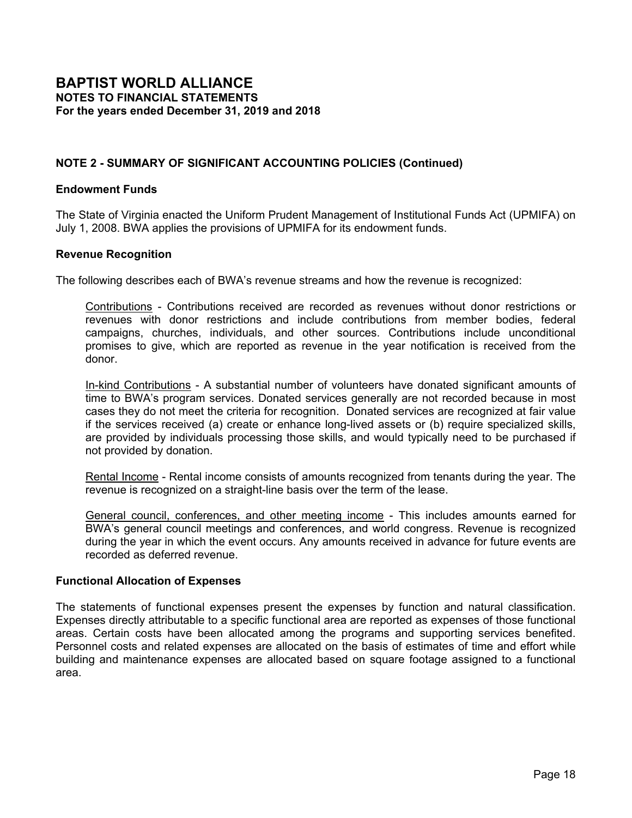**STATEMENT OF FUNCTIONAL EXPENSES For the year ended December 31, 2018**

**Mission Youth Worship Department Evangelism BWAid Justice** Personnel Costs: Salaries, including housing allowance  $\begin{array}{cccc} \text{S} & 11,143 & \text{I} & 5,155 & \text{I} & 33,010 & \text{I} & 21,504 & \text{I} & 23,913 \\ \text{Payroll taxes} & 801 & 400 & 948 & 1,655 & 948 \end{array}$ Payroll taxes 801 400 948 1,655 948 Pension plan contributions <br>
2,926 1,272 2,926 3,892 2,926 3,892 2,926<br>
2,896 3,838 2,896 Other employee benefits <br>
Total personnel costs <br>
Total personnel costs <br>
30,683<br>
30,683 Total personnel costs Advertising - - - - - Building maintenance and utilities <br>
Conferences and meetings 
and the conferences and meetings

and the conferences and meetings

and the conferences and meetings

and the conferences and meetings

and the conferences and Conferences and meetings 187,479 - 9,081 - 9,081 - 9,081 - 9,081 - 9,081 - 9,081 - 9,081 - 9,081 - 9,081 - 9,081 - 9,081 - 9,081 - 9,081 - 9,081 - 9,081 - 9,081 - 9,081 - 9,099 - 9,099 - 9,102 - 9,102 - 9,102 - 9,102 - 9,1 Depreciation 3,457 3,112 5,039 7,036 5,102 Donated materials - - - - - Grants - 675 321,362 675 321,362 675 521,362 675 521,362 675 521,362 675 521,362 675 521,362 675 521 675 521 6 Grants to regions and the contract of the contract of the state of the state of the state of the state of the state of the state of the state of the state of the state of the state of the state of the state of the state of Hospitality 50 - - 502 612 Insurance 730 822 891 1,245 898 Office equipment and computer costs  $2,987$   $5,993$   $7,243$   $8,995$   $6,806$ <br>Other fees  $195$   $195$   $445$   $585$   $445$ Other fees 195 195 445 585 445 Other publications and web and the state of the state of the state of the state of the state of the state of the state of the state of the state of the state of the state of the state of the state of the state of the state Postage and shipments **-** 518 - - 518 - - 518 - - 518 - - 518 - - 518 - - 518 - - 518 - - 518 - - 518 - - 518 - - 518 - - 518 - - 518 - 518 - 518 - 518 - 518 - 518 - 518 - 518 - 518 - 518 - 518 - 518 - 518 - 518 - 518 - 51 President's travel and the second contract of the second contract of the second contract of the second contract of the second contract of the second contract of the second contract of the second contract of the second cont Printing - - - - - Printing and mailing of "Baptist World" 
Printing and mailing of "Baptist World"<br>
Professional fees 
279 Professional fees 50 - - 2,100 279 Subscriptions, dues and literature and the state of the state of the state of the state of the state of the state of the state of the state of the state of the Supplies and materials and the state of the state of the state Supplies and materials<br>Taxes Taxes - - - - - Telephone, facsimile and internet 563 563 1,282 1,685 1,282 Travel of staff and others **1,831** 1,710 4,744 - 2,256 Total \$ 279,453 \$ 28,189 \$ 111,877 \$ 384,797 \$ 56,561 **PROGRAM SERVICES**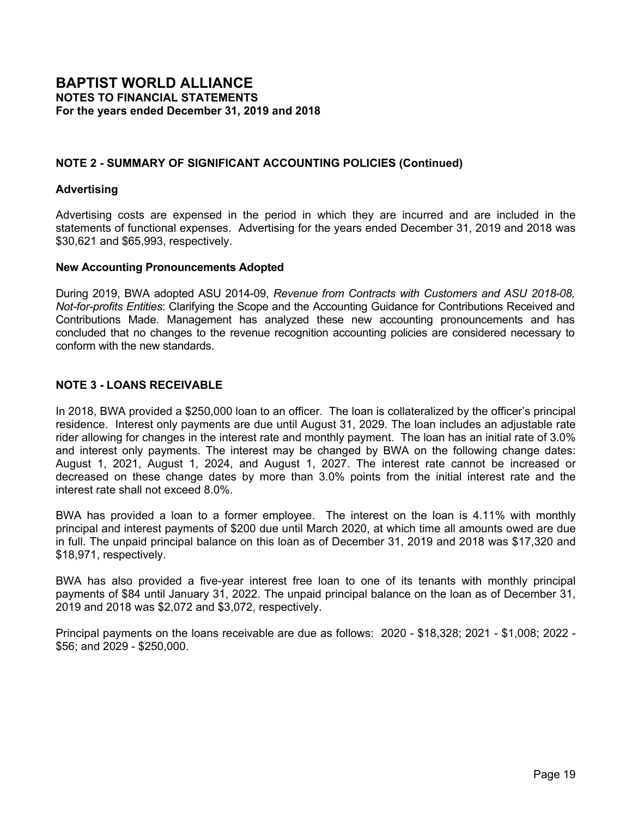|                  |                | <b>PROGRAM SERVICES</b>        |                          | <b>SUPPORTING SERVICES</b> |                 |    |                          |    |                          |    |                |                 |
|------------------|----------------|--------------------------------|--------------------------|----------------------------|-----------------|----|--------------------------|----|--------------------------|----|----------------|-----------------|
|                  |                | <b>Supporting the Programs</b> |                          |                            | <b>Total</b>    |    |                          |    |                          |    |                |                 |
| <b>Executive</b> | Communi-       | <b>Ministry</b>                |                          |                            | Program         |    | Adminis-                 |    |                          |    |                |                 |
| Office           | cations        | <b>Support</b>                 | Advancement              |                            | <b>Services</b> |    | tration                  |    | <b>Fundraising</b>       |    | <b>Tenants</b> | <b>Total</b>    |
| \$<br>127,086    | \$<br>50.348   | \$<br>43,413                   | \$<br>46,178             | \$                         | 361,750         | \$ | 244,686                  | \$ | 53,604                   | \$ | 29,384         | \$<br>689,424   |
| 1,271            | 1,047          | 3,269                          | 3,395                    |                            | 13,734          |    | 13,522                   |    | 2,649                    |    | 2,193          | 32,098          |
| 18,782           | 9,852          | 8,872                          | 6,477                    |                            | 56,271          |    | 35,517                   |    | 7,731                    |    |                | 99,519          |
| 15,005           | 19,853         | 11,853                         | 830                      |                            | 64,717          |    | 50,774                   |    | 2,715                    |    | 5,130          | 123,336         |
| 162,144          | 81,100         | 67,407                         | 56,880                   |                            | 496,472         |    | 344,499                  |    | 66,699                   |    | 36,707         | 944,377         |
|                  |                |                                | 12,023                   |                            | 12,023          |    |                          |    | 53,970                   |    |                | 65,993          |
| 13,056           | 6,805          | 12,319                         | 6,114                    |                            | 71,397          |    | 9,888                    |    | 1,453                    |    | 44,358         | 127,096         |
| 23,653           | $\blacksquare$ |                                | 2,927                    |                            | 223,140         |    |                          |    |                          |    |                | 223,140         |
| 9,365            | 4,881          | 8,836                          | 4,386                    |                            | 51,214          |    | 7,094                    |    | 1,040                    |    | 34,796         | 94,144          |
|                  |                |                                | 1,345                    |                            | 1,345           |    |                          |    |                          |    |                | 1,345           |
| 64,795           |                |                                |                          |                            | 422,159         |    |                          |    |                          |    |                | 422,159         |
|                  |                |                                |                          |                            | 57,000          |    |                          |    |                          |    |                | 57,000          |
| 4,471            | 813            | 851                            | 6,110                    |                            | 13,409          |    |                          |    |                          |    |                | 13,409          |
| 1,333            | 875            | 1,159                          | 700                      |                            | 8,653           |    | 722                      |    | 106                      |    | 2,923          | 12,404          |
| 5,480            | 5,731          | 7,144                          | 3,540                    |                            | 53,919          |    | 24,260                   |    | 3,178                    |    |                | 81,357          |
| 618              | 375            | 485                            | 211                      |                            | 3,554           |    | 15,438                   |    | 1,963                    |    |                | 20,955          |
| 2,297            | 5,436          |                                | 2,520                    |                            | 10,628          |    | 665                      |    | 3,500                    |    |                | 14,793          |
| 2,002            | 75             | 1,177                          | 2,289                    |                            | 6,061           |    |                          |    |                          |    |                | 6,061           |
| 11,146           |                |                                |                          |                            | 11,146          |    |                          |    |                          |    |                | 11,146          |
| 3,295            |                |                                | 600                      |                            | 3,895           |    |                          |    |                          |    |                | 3,895           |
|                  | 33,831         |                                |                          |                            | 33,831          |    |                          |    |                          |    |                | 33,831          |
|                  | 320            |                                | 678                      |                            | 3,427           |    | 20,369                   |    |                          |    | 1,398          | 25,194          |
| 232              |                | 211                            |                          |                            | 443             |    |                          |    |                          |    |                | 443             |
| 1,196            | 345            | 1,325                          | 5,929                    |                            | 11,081          |    | 1,461                    |    | 191                      |    |                | 12,733          |
|                  |                |                                |                          |                            |                 |    |                          |    |                          |    | 22,368         | 22,368          |
| 1,110            | 1,079          | 1,170                          | 607                      |                            | 9,341           |    | 4,571                    |    | 599                      |    |                | 14,511          |
| 28,199           | 8,409          | 2,126                          | $\overline{\phantom{a}}$ |                            | 52,275          |    | $\overline{\phantom{a}}$ |    | $\overline{\phantom{a}}$ |    |                | 52,275          |
| \$<br>334,392    | 150,075<br>\$  | \$<br>104,210                  | \$<br>106,859            | \$                         | 1,556,413       | \$ | 428,967                  | \$ | 132,699                  |    | \$142,550      | \$<br>2,260,629 |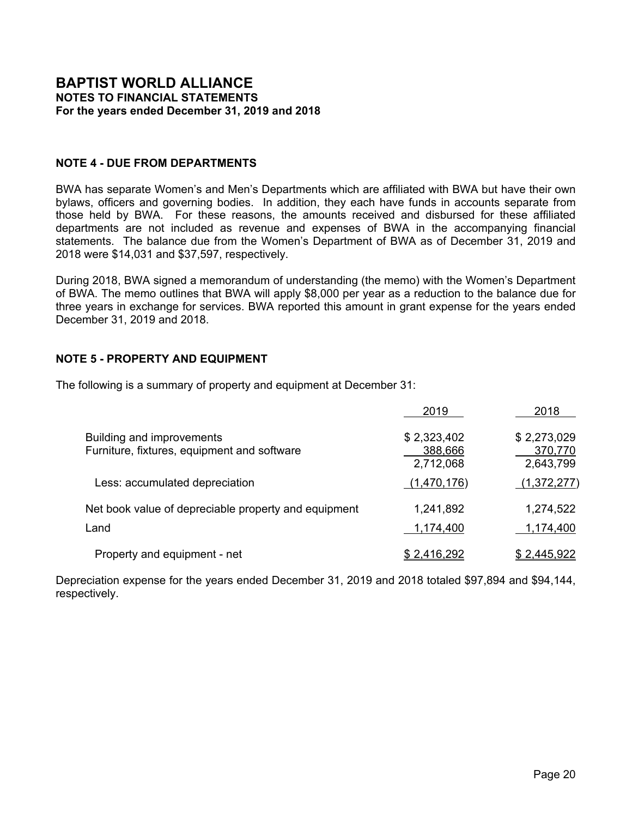**STATEMENTS OF CASH FLOWS**

**For the years ended December 31, 2019 and 2018**

|                                                                | 2019          | 2018          |
|----------------------------------------------------------------|---------------|---------------|
| <b>Cash Flows from Operating Activities</b>                    |               |               |
| Cash received from:                                            |               |               |
| Contributions from member bodies                               | \$<br>442,199 | \$<br>431,288 |
| Combined federal campaign contributions                        | 5,856         | 13,235        |
| Contributions from churches, individuals and others            | 1,399,182     | 1,227,694     |
| General council, conferences and other meeting income          | 745,481       | 254,830       |
| Interest and dividends                                         | 122,234       | 115,789       |
| Distributions from perpetual trusts                            | 71,940        | 71,182        |
| Rental income and miscellaneous                                | 292,216       | 310,189       |
|                                                                | 3,079,108     | 2,424,207     |
| Cash paid for:                                                 |               |               |
| Personnel costs                                                | (969, 844)    | (951, 234)    |
| Grants                                                         | (426, 660)    | (479, 159)    |
| Goods, services and meetings                                   | (1,036,892)   | (764, 370)    |
|                                                                | (2,433,396)   | (2, 194, 763) |
| Net cash provided by operating activities                      | 645,712       | 229,444       |
| <b>Cash Flows from Investing Activities</b>                    |               |               |
| Purchases of property and equipment                            | (68, 264)     | (55, 104)     |
| Purchases of investments                                       | (600, 714)    | (6, 719)      |
| Proceeds from sales of investments                             |               | 250,000       |
| Cash paid for loan receivable                                  |               | (250,000)     |
| Loan repayments received                                       | 2,651         | 2,637         |
| Net cash used by investing activities                          | (666, 327)    | (59, 186)     |
| <b>Cash Flows from Financing Activities</b>                    |               |               |
| Cash contributions received and restricted for endowment funds | 800           | 250           |
| <b>Effect of Exchange Rate Changes on Cash</b>                 | (2, 587)      | (2,964)       |
| <b>Net Change in Cash and Cash Equivalents</b>                 | (22, 402)     | 167,544       |
| <b>Cash and Cash Equivalents, Beginning</b>                    | 952,031       | 784,487       |
| <b>Cash and Cash Equivalents, Ending</b>                       | \$<br>929,629 | \$<br>952,031 |

#### **Supplemental Disclosure:**

During 2018, BWA disposed of fully-depreciated equipment of \$26,548 and capitalized donated building improvements of \$31,341.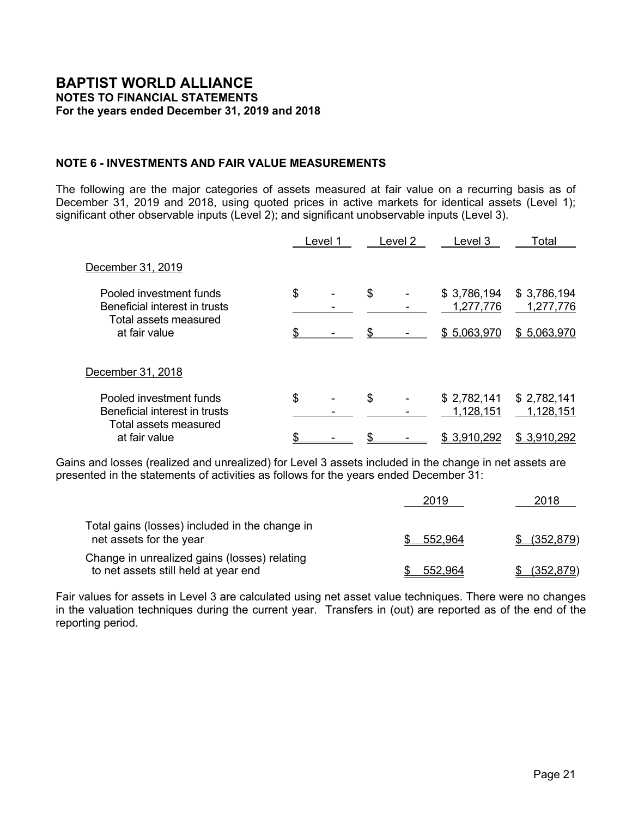### **NOTE 1 - DESCRIPTION OF ORGANIZATION**

The Baptist World Alliance (BWA) is the worldwide fellowship of Baptists called together by the Holy Spirit to express the essential unity of Baptist people in the Lord Jesus Christ.

As people of God, and through its ministries and programs, the Baptist World Alliance proclaims the Gospel, meets human need, strengthens fellowship, promotes evangelism, education and church development, stimulates cooperative actions, and serves as a prophetic voice for human rights and religious freedom.

Descriptions of the program services are as follows:

**Strengthen Worship, Fellowship and Unity:** Centered in Jesus Christ and rooted in deep spiritual life, BWA strengthens our worldwide family through ongoing gatherings, pastoral presence, mutual friendships, and the cultivation of worship, fellowship and unity. BWA hosts the most internationally diverse Baptist annual gathering in the world, touching thousands of lives through each five year quinquennial celebration. BWA also produces resources and leadership initiatives that promote worship, fellowship and unity.

**Youth Department:** The BWA Youth Department plans, coordinates and implements youth activities to further the church's mission through BWA-related youth groups and their members around the world. It provides training opportunities for youth leadership development, fosters fellowship and promotes Baptist unity among the youth, and nurtures among the youth a commitment to the BWA mission.

**Lead in Mission and Evangelism**: Compelled by the Great Commission, BWA leads with a passionate commitment to Gospel witness in every context and people group, fosters multidirectional partnerships that connect individuals and churches, and encourages global mission and evangelism. BWA provides churches and pastors with resources for context-appropriate gospel sharing. In the past 20 years, BWA has held more than 25 events in 25 countries, trained more than 4,700 registrants and affected tens of thousands, including supporting church planting and indigenous evangelistic, outreach programs.

**Respond through Aid, Relief and Community Development (a/k/a Baptist World Aid)**: Challenged to generously love our neighbor, BWA responds to people in need, collaborates in times of crisis, networks with other agencies, supports sustainability and creation care, builds capacity, empowers local church engagement and provides aid, relief, and community development. Baptist World Aid (BWAid) puts resources in the hands of Baptist churches and organizations around the world so they may pursue empowered, holistic transformation. BWAid has distributed initiatives for emergency shelter, refugee assistance, hunger and water relief, agriculture and husbandry developments, natural disaster responses, skill training projects and education. BWAid serves people in need regardless of their ethnicity, gender, caste, color or religion.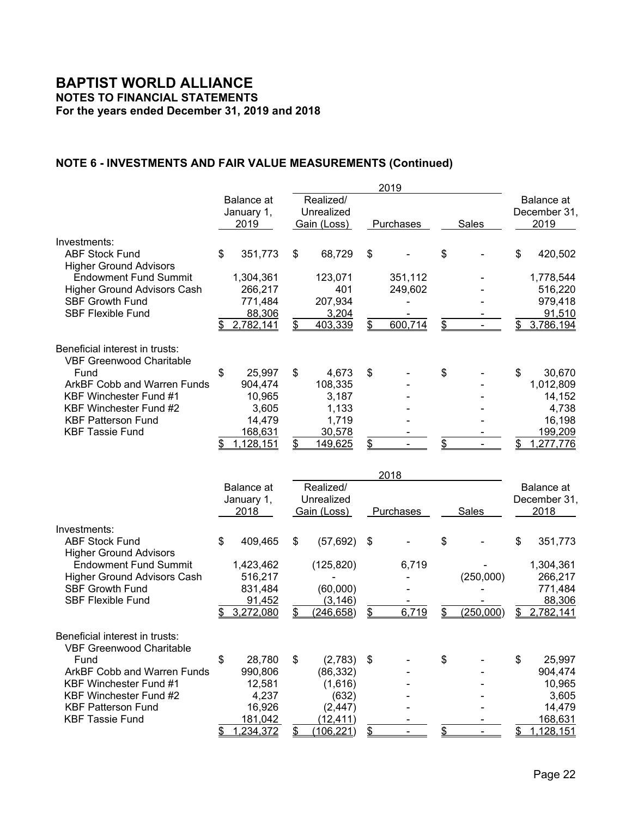### **NOTE 1 - DESCRIPTION OF ORGANIZATION (Continued)**

Descriptions of the program services are as follows:

**Advance Theological Reflection and Transformational Leadership:** Called to discipleship, BWA advances multicultural and multilingual training, empowers next generation leaders, encourages meaningful dialogue and praxis, and engages in relevant theological reflection and transformational leadership.

**Defend Religious Freedom, Human Rights and Justice:** Committed to a biblical understanding of the image of God in every person, BWA defends an ethic of life, supports religious freedom for all, stands in solidarity with the marginalized, advocates at every level, trains and networks proactively, and mobilizes for religious freedom, human rights, and justice.

In addition, the following departments actively support all of the above programs throughout the year:

**Executive Office** – coordinates, administers and executes programs, which help to support positive relationships within BWA and between BWA and its member bodies and related organizations.

**Communications** – seeks to validate the perception of BWA as playing a key role in the life of the worldwide Baptist community. It positions BWA as a unique organization that truly reflects and represents Baptist life, thought, belief and unity.

**Ministry Support** – manages the financial activities of BWA in a manner designed to protect the assets, meet reporting requirements and effectively accomplish the financial stewardship responsibilities of BWA.

**Advancement** – oversees promotional events and the creation and distribution of materials designed to inform and inspire donors and potential donors.

Descriptions of the supporting services are as follows:

**Administration** – activities necessary to secure proper administrative functioning of the governing board, to maintain an adequate working environment, and to manage the financial responsibilities which include business management, human resources, record-keeping, budgeting, building management, and related administrative activities.

**Fundraising** – activities include soliciting contributions from member bodies, churches, individuals and others to provide the structure necessary to encourage and secure financial support for BWA's programs and operations.

**Tenants** – activities include managing the tenant rental agreements for the additional office space in the headquarters building located in Falls Church, Virginia, which is rented to other nonprofits or small businesses.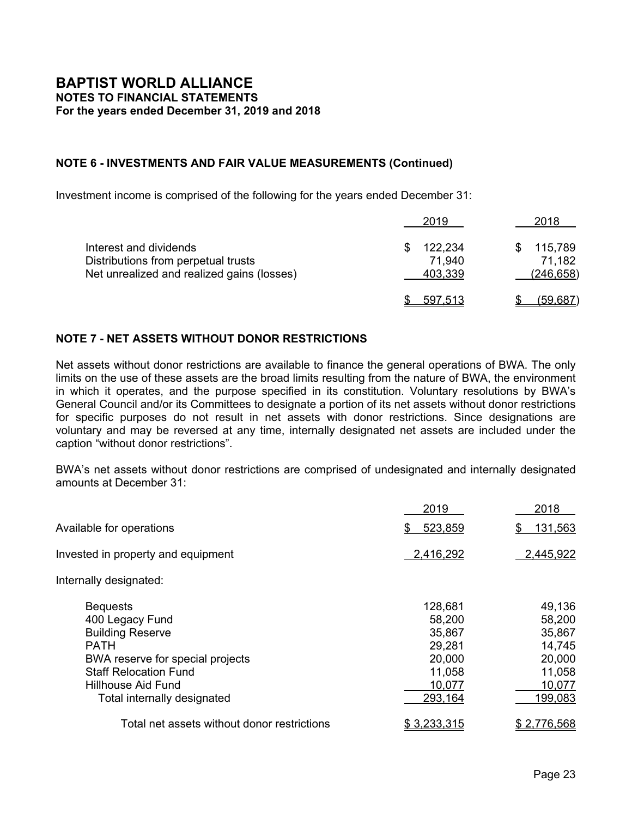### **NOTE 2 - SUMMARY OF SIGNIFICANT ACCOUNTING POLICIES**

### **Basis of Accounting**

BWA prepares its financial statements on the accrual basis of accounting in accordance with accounting principles generally accepted in the United States of America. Revenue is recognized when earned and expenses are recorded as incurred.

#### **Measure of Operations**

BWA has presented the statements of activities based on an intermediate measure of operations. The change in net assets from operations includes all revenue and expenses that are an integral part of BWA's programs and supporting activities and net assets released from restrictions to support operating expenditures. The measure of operations includes support for operating activities from both net assets with donor restrictions and net assets without donor restrictions. The measure of operations excludes the realized and unrealized net appreciation in fair value of investments and the change in value of beneficial interests.

### **Use of Estimates**

The preparation of financial statements in conformity with accounting principles generally accepted in the United States of America requires management to make estimates and assumptions that affect the reported amounts of assets and liabilities and disclosure of contingent assets and liabilities at the date of the financial statements and the reported amounts of support and revenue and expenses during the reporting period. Actual results could differ from those estimates.

#### **Cash and Cash Equivalents**

Cash and cash equivalents include amounts invested in short-term investments with original maturities of 90 days or less or designated for use in operations. Cash and cash equivalents held by an investment custodian to facilitate investment transactions or for investment are included in investments in the statements of financial position.

#### **Foreign Currencies**

All amounts in the accompanying financial statements are expressed in United States dollars. Foreign currencies (Euros/Pounds) received which were not immediately exchanged for U.S. dollars and foreign currencies disbursed have been translated to U.S. dollar equivalents at an average exchange rate for the year.

#### **Accounts Receivable**

Receivables are valued at management's estimate of the amount that will ultimately be collected. The allowance for doubtful accounts is based on specific identification of uncollectible accounts and BWA's historical collection experience.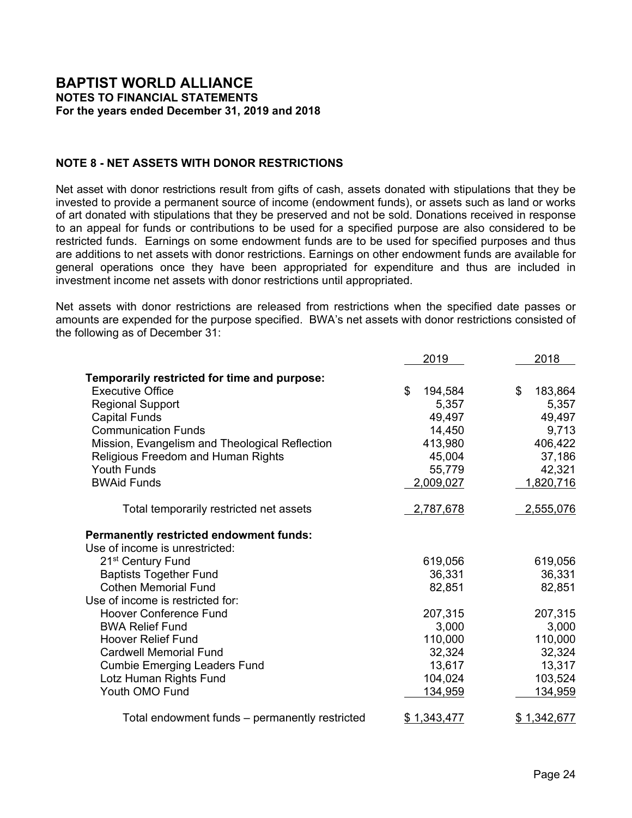### **NOTE 2 - SUMMARY OF SIGNIFICANT ACCOUNTING POLICIES (Continued)**

All receivables are considered to be fully collectible at December 31, 2019 and 2018, and as such, no allowance for doubtful accounts has been provided for in the financial statements.

#### **Pledges Receivable**

Unconditional promises to give are recognized as revenue or gains in the period the promise is received and as assets, decreases in liabilities, or expenses depending on the form of the benefits received. Promises made to BWA for future contributions expected to be fully collectible are recorded as pledges receivable and as revenue at the value of such future payments. Conditional promises to give are recognized when the conditions on which they depend are substantially met.

Unconditional promises to give that are expected to be collected in future years are recorded at the present value of estimated future cash flows. The discounts on those amounts are computed using risk-free interest rates applicable to the years in which the promises are received. Amortization of the discount is included in contribution revenue. The discounts will be recognized as contribution revenue in future fiscal years as the discount is amortized over the duration of the contributions.

Pledges receivable as of December 31, 2018 were due within one year. There was no allowance or discount to present value as of December 31, 2018.

#### **Property and Equipment**

BWA follows the practice of capitalizing the cost of all major additions of property and equipment while replacements, maintenance and repairs which do not improve or extend the lives of the respective assets are expensed immediately. Depreciation is computed using the straight-line method over the estimated useful lives of the related assets, which are as follows:

| Building and improvements | 20 - 40 years |
|---------------------------|---------------|
| Furniture and fixtures    | 10 years      |
| Equipment and software    | 3 - 8 years   |

#### **Investments**

The investments of BWA consist of amounts invested in group or pooled investment funds managed by various Baptist Foundations which invest these funds in readily marketable securities. The net asset value of each of these funds is calculated at least monthly by the fund management based on quoted market values of the underlying securities of the pools. BWA may redeem amounts from its share of the pooled funds at the latest calculated net asset value by giving the fund proper notice. In all cases the required notice is 30 days or less. Accordingly, BWA carries its investments at their fair value based on these calculated net asset values, which are considered to be unobservable inputs (Level 3) in the fair value measurement hierarchy.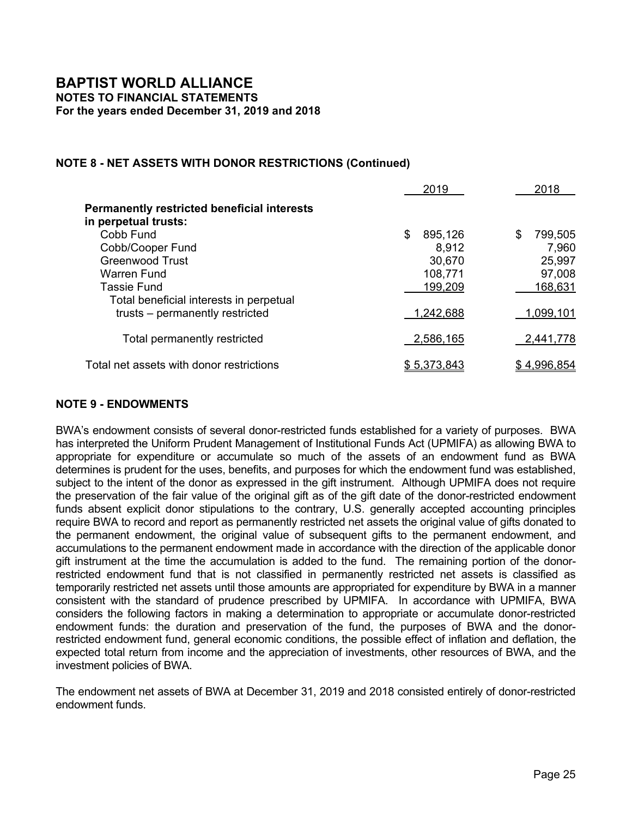### **NOTE 2 - SUMMARY OF SIGNIFICANT ACCOUNTING POLICIES (Continued)**

Investments may also include donated stock that is not immediately sold. All investments are carried at their fair value as of the date of the statements of financial position, which may differ from the amount ultimately realized at the time of sale. Realized and unrealized gains and losses are reflected in the statements of activities. The cost of investments sold is determined by the specific identification method.

Investment securities are exposed to various risks such as interest rates, market and credit risks. Due to the level of risk associated with certain investment securities, it is at least reasonably possible that changes in the values of investment securities will occur in the near term and that such changes could materially affect account balances and the amounts reported in the accompanying financial statements.

### **Fair Value Measurements**

FASB ASC 820, *Fair Value Measurements and Disclosures*, established a framework for measuring fair value. That framework provides a fair value hierarchy that prioritizes the inputs to valuation techniques used to measure fair value. The hierarchy gives the highest priority to the unadjusted quoted prices in active markets for identical assets or liabilities (Level 1 measurements) and the lowest priority to unobservable inputs (Level 3 measurements).

The three levels of the fair value hierarchy under FASB ASC 820 are described as follows:

- *Level 1*: Level 1 inputs are quoted prices (unadjusted) in active markets for identical assets or liabilities that are accessible at the measurement date (e. g., equity securities traded on the New York Stock Exchange).
- *Level 2*: Level 2 inputs are from other than quoted market prices included in Level 1 that are observable for the asset or liability, either directly or indirectly (e. g., quoted market prices of similar assets or liabilities in active markets, or quoted market prices for identical or similar assets or liabilities in markets that are not active).
- *Level 3*: Level 3 inputs are unobservable (e. g., a company's own data) and should be used to measure fair value to the extent that observable inputs are not available.

The fair value measurement level within the fair value hierarchy is based on the lowest level of any input that is significant to the fair value measurement. Valuation techniques used need to maximize the use of the observable inputs and minimize the use of the unobservable inputs.

### **Beneficial Interest in Trusts**

The beneficial interest in trusts consists of permanently restricted perpetual trusts with donor restrictions held by the Arkansas Baptist Foundation (ABF) and the Virginia Baptist Foundation (VBF). The charitable remainder trusts held by the Kentucky Baptist Foundation (KBF) are presented as temporarily donor restricted due to the time restrictions during the donor's lifetime.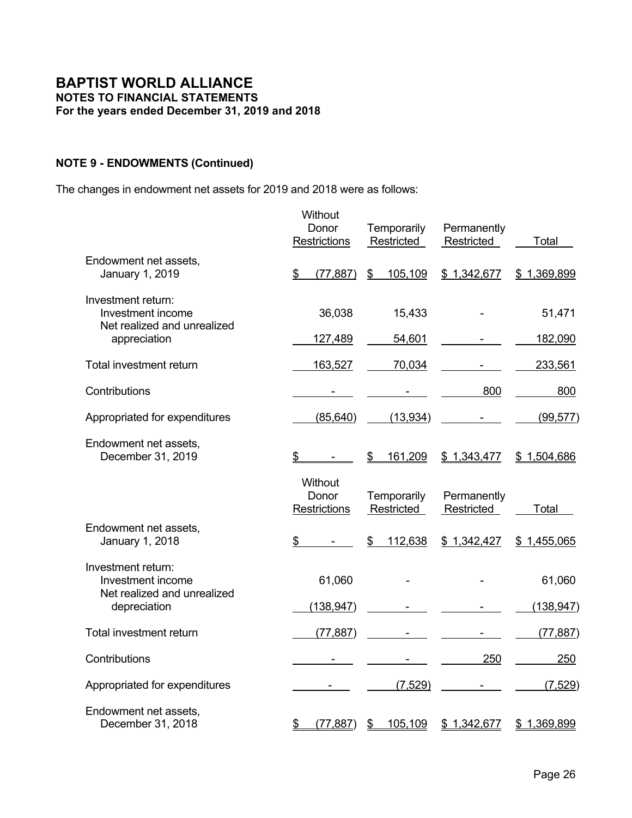### **NOTE 2 - SUMMARY OF SIGNIFICANT ACCOUNTING POLICIES (Continued)**

Annually, BWA receives a portion of the capital appreciation, interest, and dividends earned by ABF and VBF. With respect to ABF only, distributions in excess of the allotted portion of interest, dividends and capital appreciation may be made to BWA in any year as determined by the ABF.

All unrealized gains of ABF and VBF are classified as permanently restricted net assets with donor restrictions. Unrealized gains of KBF are temporarily restricted net assets with donor restrictions.

#### **Net Assets**

Net assets, revenue, gains, and losses are classified based on the existence or absence of contributions with donor-imposed restrictions. Accordingly, net assets of BWA and changes therein are classified and reported as follows:

Net assets without donor restrictions - Net assets available for general use and not subject to donor restrictions. Net assets without donor restrictions also include BWA's investment in property and equipment, net of accumulated depreciation. BWA's General Council and/or its Committees may internally designate a portion of these net assets for specific purposes which makes them unavailable for use at management's discretion.

Net assets with donor restrictions - Net assets with donor restrictions consist of assets whose use is limited by donor-imposed, time and/or purpose restrictions. BWA reports gifts of cash and other assets as revenue with donor restrictions if they are received with donor stipulations that limit the use of the donated asset. When a donor restriction expires, that is, when a stipulated time restriction ends or purpose restriction is accomplished, the net assets are reclassified as net assets without donor restrictions and reported in the statements of activities as net assets released from restrictions.

Some net assets with donor restrictions include a stipulation that assets provided be maintained permanently (perpetual in nature) while permitting BWA to expend the income generated by the assets in accordance with the provisions of additional donor imposed stipulations or the provisions of an approved spending policy.

See Note 8 for more information on the composition of net assets with donor restrictions.

#### **Administration Fees**

A one-time administrative fee on all contributions with donor restrictions received (excluding endowment funds, building funds, funds for support of regional fellowships, and in-kind contributions) is charged to help cover the administrative expenses of handling such donor restricted assets. In 2019 and 2018, the administrative fee was 20%. A percentage of these administrative fees has been designated for scholarships provided by the Program of Assistance for Travel and Hospitality (PATH), which was two percent in 2019 and 2018. These fees are reported as a release from net assets with donor restrictions to net assets without donor restrictions.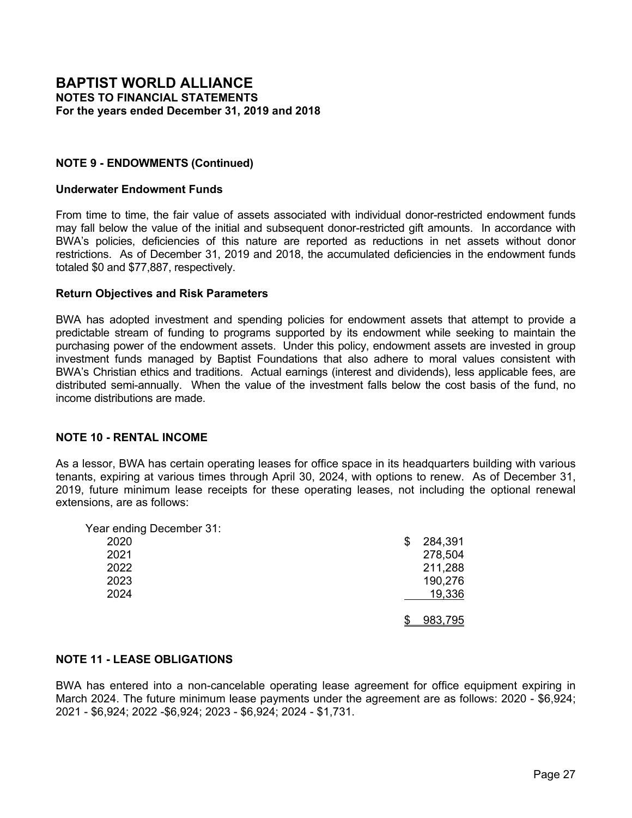### **NOTE 2 - SUMMARY OF SIGNIFICANT ACCOUNTING POLICIES (Continued)**

#### **Endowment Funds**

The State of Virginia enacted the Uniform Prudent Management of Institutional Funds Act (UPMIFA) on July 1, 2008. BWA applies the provisions of UPMIFA for its endowment funds.

#### **Revenue Recognition**

The following describes each of BWA's revenue streams and how the revenue is recognized:

Contributions - Contributions received are recorded as revenues without donor restrictions or revenues with donor restrictions and include contributions from member bodies, federal campaigns, churches, individuals, and other sources. Contributions include unconditional promises to give, which are reported as revenue in the year notification is received from the donor.

In-kind Contributions - A substantial number of volunteers have donated significant amounts of time to BWA's program services. Donated services generally are not recorded because in most cases they do not meet the criteria for recognition. Donated services are recognized at fair value if the services received (a) create or enhance long-lived assets or (b) require specialized skills, are provided by individuals processing those skills, and would typically need to be purchased if not provided by donation.

Rental Income - Rental income consists of amounts recognized from tenants during the year. The revenue is recognized on a straight-line basis over the term of the lease.

General council, conferences, and other meeting income - This includes amounts earned for BWA's general council meetings and conferences, and world congress. Revenue is recognized during the year in which the event occurs. Any amounts received in advance for future events are recorded as deferred revenue.

#### **Functional Allocation of Expenses**

The statements of functional expenses present the expenses by function and natural classification. Expenses directly attributable to a specific functional area are reported as expenses of those functional areas. Certain costs have been allocated among the programs and supporting services benefited. Personnel costs and related expenses are allocated on the basis of estimates of time and effort while building and maintenance expenses are allocated based on square footage assigned to a functional area.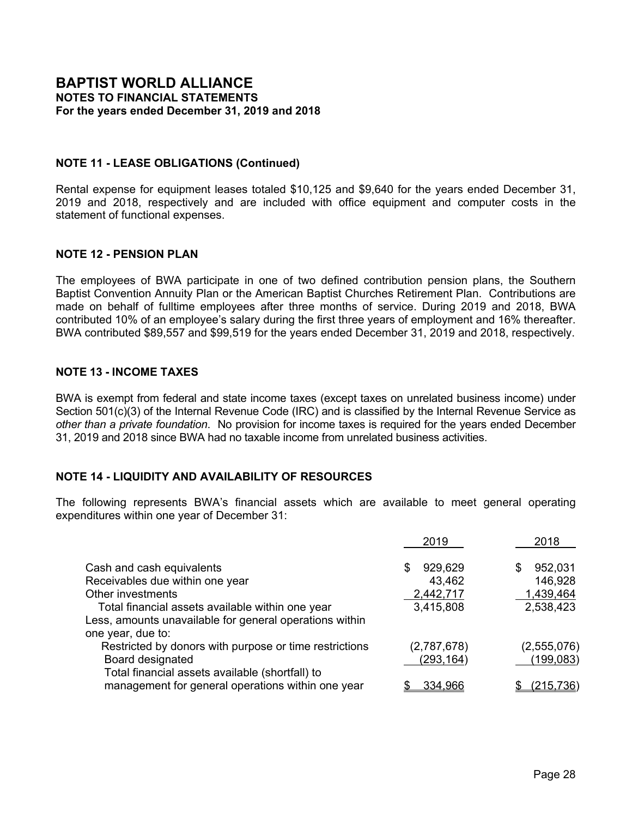### **NOTE 2 - SUMMARY OF SIGNIFICANT ACCOUNTING POLICIES (Continued)**

#### **Advertising**

Advertising costs are expensed in the period in which they are incurred and are included in the statements of functional expenses. Advertising for the years ended December 31, 2019 and 2018 was \$30,621 and \$65,993, respectively.

#### **New Accounting Pronouncements Adopted**

During 2019, BWA adopted ASU 2014-09, *Revenue from Contracts with Customers and ASU 2018-08, Not-for-profits Entities*: Clarifying the Scope and the Accounting Guidance for Contributions Received and Contributions Made. Management has analyzed these new accounting pronouncements and has concluded that no changes to the revenue recognition accounting policies are considered necessary to conform with the new standards.

#### **NOTE 3 - LOANS RECEIVABLE**

In 2018, BWA provided a \$250,000 loan to an officer. The loan is collateralized by the officer's principal residence. Interest only payments are due until August 31, 2029. The loan includes an adjustable rate rider allowing for changes in the interest rate and monthly payment. The loan has an initial rate of 3.0% and interest only payments. The interest may be changed by BWA on the following change dates: August 1, 2021, August 1, 2024, and August 1, 2027. The interest rate cannot be increased or decreased on these change dates by more than 3.0% points from the initial interest rate and the interest rate shall not exceed 8.0%.

BWA has provided a loan to a former employee. The interest on the loan is 4.11% with monthly principal and interest payments of \$200 due until March 2020, at which time all amounts owed are due in full. The unpaid principal balance on this loan as of December 31, 2019 and 2018 was \$17,320 and \$18,971, respectively.

BWA has also provided a five-year interest free loan to one of its tenants with monthly principal payments of \$84 until January 31, 2022. The unpaid principal balance on the loan as of December 31, 2019 and 2018 was \$2,072 and \$3,072, respectively.

Principal payments on the loans receivable are due as follows: 2020 - \$18,328; 2021 - \$1,008; 2022 - \$56; and 2029 - \$250,000.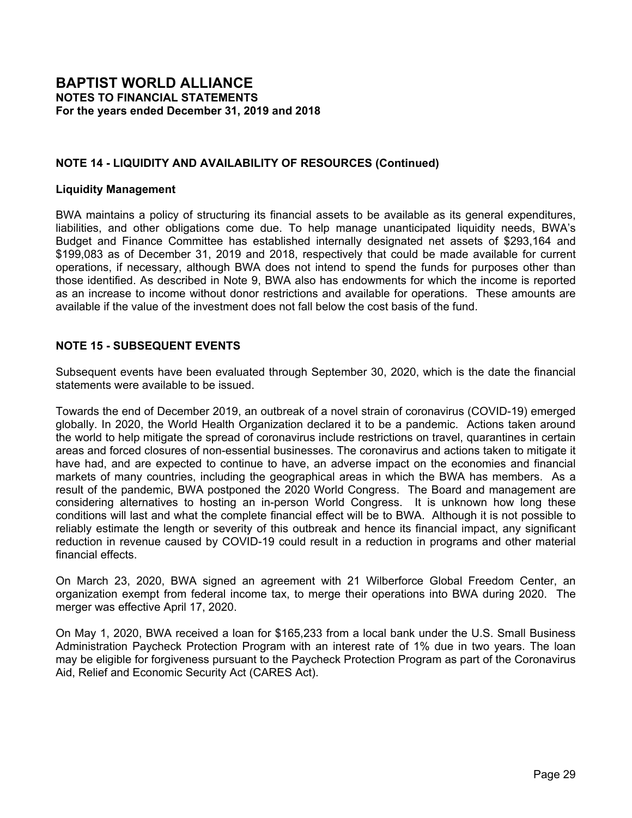### **NOTE 4 - DUE FROM DEPARTMENTS**

BWA has separate Women's and Men's Departments which are affiliated with BWA but have their own bylaws, officers and governing bodies. In addition, they each have funds in accounts separate from those held by BWA. For these reasons, the amounts received and disbursed for these affiliated departments are not included as revenue and expenses of BWA in the accompanying financial statements. The balance due from the Women's Department of BWA as of December 31, 2019 and 2018 were \$14,031 and \$37,597, respectively.

During 2018, BWA signed a memorandum of understanding (the memo) with the Women's Department of BWA. The memo outlines that BWA will apply \$8,000 per year as a reduction to the balance due for three years in exchange for services. BWA reported this amount in grant expense for the years ended December 31, 2019 and 2018.

### **NOTE 5 - PROPERTY AND EQUIPMENT**

The following is a summary of property and equipment at December 31:

|                                                                          | 2019                                | 2018                                |
|--------------------------------------------------------------------------|-------------------------------------|-------------------------------------|
| Building and improvements<br>Furniture, fixtures, equipment and software | \$2,323,402<br>388,666<br>2,712,068 | \$2,273,029<br>370,770<br>2,643,799 |
| Less: accumulated depreciation                                           | (1,470,176)                         | (1,372,277)                         |
| Net book value of depreciable property and equipment<br>Land             | 1,241,892<br>1,174,400              | 1,274,522<br>1,174,400              |
| Property and equipment - net                                             | \$2,416,292                         | \$2,445,922                         |

Depreciation expense for the years ended December 31, 2019 and 2018 totaled \$97,894 and \$94,144, respectively.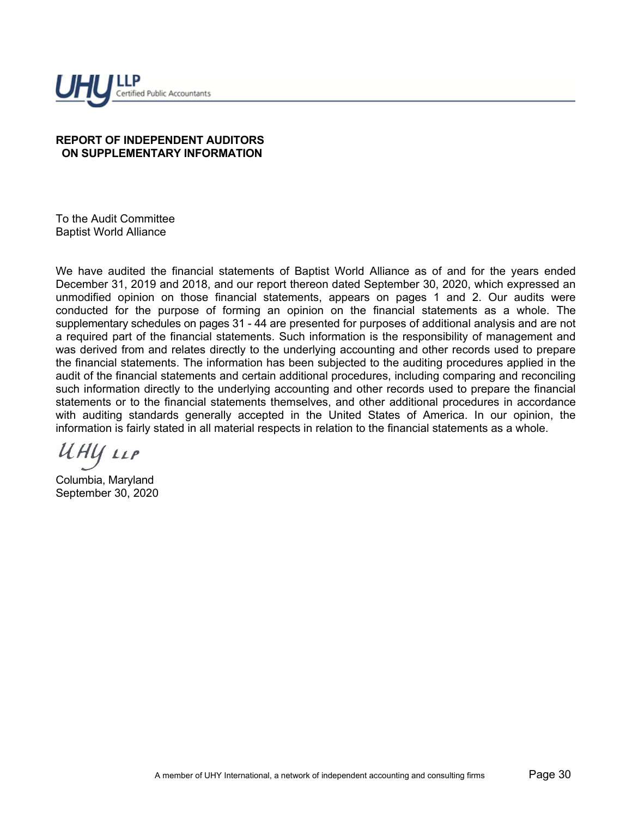### **NOTE 6 - INVESTMENTS AND FAIR VALUE MEASUREMENTS**

The following are the major categories of assets measured at fair value on a recurring basis as of December 31, 2019 and 2018, using quoted prices in active markets for identical assets (Level 1); significant other observable inputs (Level 2); and significant unobservable inputs (Level 3).

|                                                                                   | Level 1 | Level 2 | Level 3                  | Total                    |
|-----------------------------------------------------------------------------------|---------|---------|--------------------------|--------------------------|
| December 31, 2019                                                                 |         |         |                          |                          |
| Pooled investment funds<br>Beneficial interest in trusts<br>Total assets measured | \$      | \$      | \$3,786,194<br>1,277,776 | \$3,786,194<br>1,277,776 |
| at fair value                                                                     |         |         | \$5,063,970              | \$5,063,970              |
| December 31, 2018                                                                 |         |         |                          |                          |
| Pooled investment funds<br>Beneficial interest in trusts<br>Total assets measured | \$      | \$      | \$2,782,141<br>1,128,151 | \$2,782,141<br>1,128,151 |
| at fair value                                                                     |         |         | \$ 3,910,292             | \$ 3,910,292             |

Gains and losses (realized and unrealized) for Level 3 assets included in the change in net assets are presented in the statements of activities as follows for the years ended December 31:

|                                                                                      | 2019    | 2018       |
|--------------------------------------------------------------------------------------|---------|------------|
| Total gains (losses) included in the change in<br>net assets for the year            | 552.964 | (352, 879) |
| Change in unrealized gains (losses) relating<br>to net assets still held at year end | 552.964 | (352, 879) |

Fair values for assets in Level 3 are calculated using net asset value techniques. There were no changes in the valuation techniques during the current year. Transfers in (out) are reported as of the end of the reporting period.